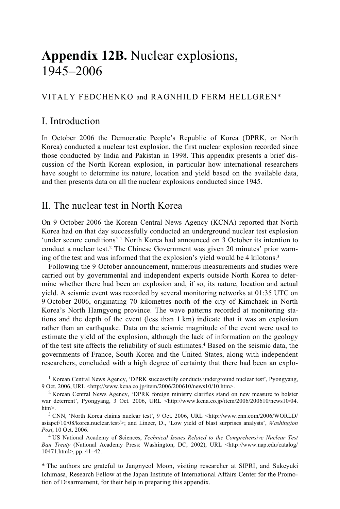# **Appendix 12B.** Nuclear explosions, 1945–2006

#### VITALY FEDCHENKO and RAGNHILD FERM HELLGREN\*

# I. Introduction

In October 2006 the Democratic People's Republic of Korea (DPRK, or North Korea) conducted a nuclear test explosion, the first nuclear explosion recorded since those conducted by India and Pakistan in 1998. This appendix presents a brief discussion of the North Korean explosion, in particular how international researchers have sought to determine its nature, location and yield based on the available data, and then presents data on all the nuclear explosions conducted since 1945.

### II. The nuclear test in North Korea

On 9 October 2006 the Korean Central News Agency (KCNA) reported that North Korea had on that day successfully conducted an underground nuclear test explosion 'under secure conditions'.1 North Korea had announced on 3 October its intention to conduct a nuclear test.2 The Chinese Government was given 20 minutes' prior warning of the test and was informed that the explosion's yield would be 4 kilotons.3

Following the 9 October announcement, numerous measurements and studies were carried out by governmental and independent experts outside North Korea to determine whether there had been an explosion and, if so, its nature, location and actual yield. A seismic event was recorded by several monitoring networks at 01:35 UTC on 9 October 2006, originating 70 kilometres north of the city of Kimchaek in North Korea's North Hamgyong province. The wave patterns recorded at monitoring stations and the depth of the event (less than 1 km) indicate that it was an explosion rather than an earthquake. Data on the seismic magnitude of the event were used to estimate the yield of the explosion, although the lack of information on the geology of the test site affects the reliability of such estimates.4 Based on the seismic data, the governments of France, South Korea and the United States, along with independent researchers, concluded with a high degree of certainty that there had been an explo-

<sup>&</sup>lt;sup>1</sup> Korean Central News Agency, 'DPRK successfully conducts underground nuclear test', Pyongyang, 9 Oct. 2006, URL <http://www.kcna.co.jp/item/2006/200610/news10/10.htm>.

 $2$  Korean Central News Agency, 'DPRK foreign ministry clarifies stand on new measure to bolster war deterrent', Pyongyang, 3 Oct. 2006, URL <http://www.kcna.co.jp/item/2006/200610/news10/04. htm>.<br><sup>3</sup> CNN, 'North Korea claims nuclear test', 9 Oct. 2006, URL <http://www.cnn.com/2006/WORLD/

asiapcf/10/08/korea.nuclear.test/>; and Linzer, D., 'Low yield of blast surprises analysts', *Washington Post*, 10 Oct. 2006.

<sup>4</sup> US National Academy of Sciences, *Technical Issues Related to the Comprehensive Nuclear Test Ban Treaty* (National Academy Press: Washington, DC, 2002), URL <http://www.nap.edu/catalog/ 10471.html>, pp. 41–42.

<sup>\*</sup> The authors are grateful to Jangnyeol Moon, visiting researcher at SIPRI, and Sukeyuki Ichimasa, Research Fellow at the Japan Institute of International Affairs Center for the Promotion of Disarmament, for their help in preparing this appendix.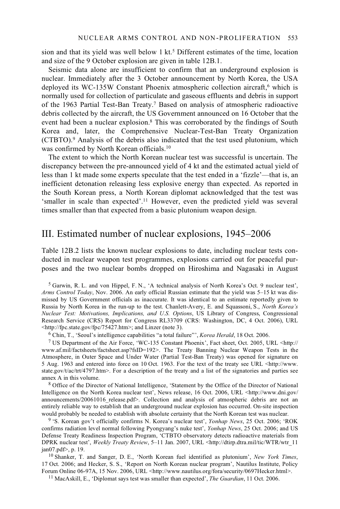sion and that its yield was well below  $1 \text{ kt.}^5$  Different estimates of the time, location and size of the 9 October explosion are given in table 12B.1.

Seismic data alone are insufficient to confirm that an underground explosion is nuclear. Immediately after the 3 October announcement by North Korea, the USA deployed its WC-135W Constant Phoenix atmospheric collection aircraft,<sup>6</sup> which is normally used for collection of particulate and gaseous effluents and debris in support of the 1963 Partial Test-Ban Treaty.7 Based on analysis of atmospheric radioactive debris collected by the aircraft, the US Government announced on 16 October that the event had been a nuclear explosion.<sup>8</sup> This was corroborated by the findings of South Korea and, later, the Comprehensive Nuclear-Test-Ban Treaty Organization (CTBTO).9 Analysis of the debris also indicated that the test used plutonium, which was confirmed by North Korean officials.10

The extent to which the North Korean nuclear test was successful is uncertain. The discrepancy between the pre-announced yield of 4 kt and the estimated actual yield of less than 1 kt made some experts speculate that the test ended in a 'fizzle'—that is, an inefficient detonation releasing less explosive energy than expected. As reported in the South Korean press, a North Korean diplomat acknowledged that the test was 'smaller in scale than expected'.11 However, even the predicted yield was several times smaller than that expected from a basic plutonium weapon design.

## III. Estimated number of nuclear explosions, 1945–2006

Table 12B.2 lists the known nuclear explosions to date, including nuclear tests conducted in nuclear weapon test programmes, explosions carried out for peaceful purposes and the two nuclear bombs dropped on Hiroshima and Nagasaki in August

5 Garwin, R. L. and von Hippel, F. N., 'A technical analysis of North Korea's Oct. 9 nuclear test', *Arms Control Today*, Nov. 2006. An early official Russian estimate that the yield was 5–15 kt was dismissed by US Government officials as inaccurate. It was identical to an estimate reportedly given to Russia by North Korea in the run-up to the test. Chanlett-Avery, E. and Squassoni, S., *North Korea's Nuclear Test: Motivations, Implications, and U.S. Options*, US Library of Congress, Congressional Research Service (CRS) Report for Congress RL33709 (CRS: Washington, DC, 4 Oct. 2006), URL <http://fpc.state.gov/fpc/75427.htm>; and Linzer (note 3).

<sup>6</sup> Chin, T., 'Seoul's intelligence capabilities "a total failure"', *Korea Herald*, 18 Oct. 2006.<br><sup>7</sup> US Department of the Air Force, 'WC-135 Constant Phoenix', Fact sheet, Oct. 2005, URL <http:// www.af.mil/factsheets/factsheet.asp?fsID=192>. The Treaty Banning Nuclear Weapon Tests in the Atmosphere, in Outer Space and Under Water (Partial Test-Ban Treaty) was opened for signature on 5 Aug. 1963 and entered into force on 10 Oct. 1963. For the text of the treaty see URL <http://www. state.gov/t/ac/trt/4797.htm>. For a description of the treaty and a list of the signatories and parties see annex A in this volume.

<sup>8</sup> Office of the Director of National Intelligence, 'Statement by the Office of the Director of National Intelligence on the North Korea nuclear test', News release, 16 Oct. 2006, URL <http://www.dni.gov/ announcements/20061016 release.pdf>. Collection and analysis of atmospheric debris are not an entirely reliable way to establish that an underground nuclear explosion has occurred. On-site inspection

would probably be needed to establish with absolute certainty that the North Korean test was nuclear. 9 'S. Korean gov't officially confirms N. Korea's nuclear test', *Yonhap News*, 25 Oct. 2006; 'ROK confirms radiation level normal following Pyongyang's nuke test', *Yonhap News*, 25 Oct. 2006; and US Defense Treaty Readiness Inspection Program, 'CTBTO observatory detects radioactive materials from DPRK nuclear test', *Weekly Treaty Review*, 5–11 Jan. 2007, URL <http://dtirp.dtra.mil/tic/WTR/wtr\_11 jan07.pdf>, p. 19. 10 Shanker, T. and Sanger, D. E., 'North Korean fuel identified as plutonium', *New York Times*,

17 Oct. 2006; and Hecker, S. S., 'Report on North Korean nuclear program', Nautilus Institute, Policy Forum Online 06-97A, 15 Nov. 2006, URL <http://www.nautilus.org/fora/security/0697Hecker.html>. 11 MacAskill, E., 'Diplomat says test was smaller than expected', *The Guardian*, 11 Oct. 2006.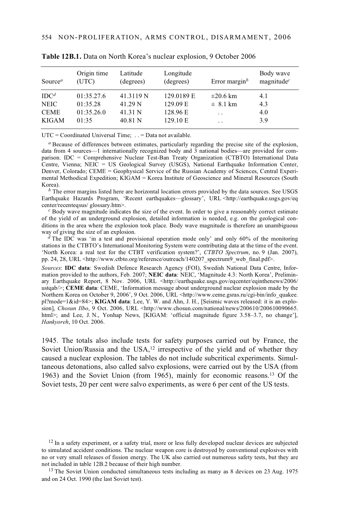| Source <sup><math>a</math></sup> | Origin time<br>(UTC) | Latitude<br>(degrees) | Longitude<br>(degrees) | Error margin <sup>b</sup> | Body wave<br>magnitude $c$ |
|----------------------------------|----------------------|-----------------------|------------------------|---------------------------|----------------------------|
| IDC <sup>d</sup>                 | 01:35.27.6           | 41.3119 <sub>N</sub>  | 129.0189 E             | $\pm 20.6$ km             | 4.1                        |
| <b>NEIC</b>                      | 01:35.28             | 41.29 N               | 129.09 E               | $\pm$ 8.1 km              | 4.3                        |
| <b>CEME</b>                      | 01:35.26.0           | 41.31 N               | 128.96 E               | $\ddotsc$                 | 4.0                        |
| <b>KIGAM</b>                     | 01:35                | 40.81 N               | 129.10 E               | $\ddotsc$                 | 3.9                        |

**Table 12B.1.** Data on North Korea's nuclear explosion, 9 October 2006

 $UTC = Coordinated Universal Time$ ;  $\therefore$  = Data not available.

*<sup>a</sup>* Because of differences between estimates, particularly regarding the precise site of the explosion, data from 4 sources—1 internationally recognized body and 3 national bodies—are provided for comparison. IDC = Comprehensive Nuclear Test-Ban Treaty Organization (CTBTO) International Data Centre, Vienna; NEIC = US Geological Survey (USGS), National Earthquake Information Center, Denver, Colorado; CEME = Geophysical Service of the Russian Academy of Sciences, Central Experimental Methodical Expedition; KIGAM = Korea Institute of Geoscience and Mineral Resources (South Korea).

 $b<sup>b</sup>$  The error margins listed here are horizontal location errors provided by the data sources. See USGS Earthquake Hazards Program, 'Recent earthquakes—glossary', URL <http://earthquake.usgs.gov/eq

 $c_{\rm B}$  Body wave magnitude indicates the size of the event. In order to give a reasonably correct estimate of the yield of an underground explosion, detailed information is needed, e.g. on the geological conditions in the area where the explosion took place. Body wave magnitude is therefore an unambiguous wav of giving the size of an explosion.

 $\frac{d}{dx}$  The IDC was 'in a test and provisional operation mode only' and only 60% of the monitoring stations in the CTBTO's International Monitoring System were contributing data at the time of the event. 'North Korea: a real test for the CTBT verification system?', *CTBTO Spectrum*, no. 9 (Jan. 2007), pp. 24, 28, URL <http://www.ctbto.org/reference/outreach/140207\_spectrum9\_web\_final.pdf>.

*Sources*: **IDC data**: Swedish Defence Research Agency (FOI), Swedish National Data Centre, Information provided to the authors, Feb. 2007; **NEIC data**: NEIC, 'Magnitude 4.3: North Korea', Preliminary Earthquake Report, 8 Nov. 2006, URL <http://earthquake.usgs.gov/eqcenter/eqinthenews/2006/ ustqab/>; **CEME data**: CEME, 'Information message about underground nuclear explosion made by the Northern Korea on October 9, 2006', 9 Oct. 2006, URL <http://www.ceme.gsras.ru/cgi-bin/info\_quakee. pl?mode=1&id=84>; **KIGAM data**: Lee, Y. W. and Ahn, J. H., [Seismic waves released: it is an explosion], *Chosun Ilbo*, 9 Oct. 2006, URL <http://www.chosun.com/national/news/200610/200610090665. html>; and Lee, J. N., Yonhap News, [KIGAM: 'official magnitude figure 3.58–3.7, no change'], *Hankyoreh*, 10 Oct. 2006.

1945. The totals also include tests for safety purposes carried out by France, the Soviet Union/Russia and the USA,<sup>12</sup> irrespective of the yield and of whether they caused a nuclear explosion. The tables do not include subcritical experiments. Simultaneous detonations, also called salvo explosions, were carried out by the USA (from 1963) and the Soviet Union (from 1965), mainly for economic reasons.13 Of the Soviet tests, 20 per cent were salvo experiments, as were 6 per cent of the US tests.

 $12$  In a safety experiment, or a safety trial, more or less fully developed nuclear devices are subjected to simulated accident conditions. The nuclear weapon core is destroyed by conventional explosives with no or very small releases of fission energy. The UK also carried out numerous safety tests, but they are

<sup>&</sup>lt;sup>13</sup> The Soviet Union conducted simultaneous tests including as many as 8 devices on 23 Aug. 1975 and on 24 Oct. 1990 (the last Soviet test).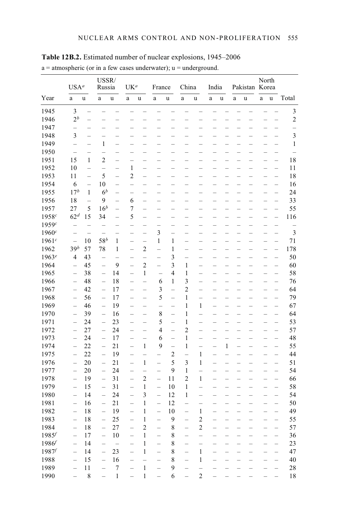|            |                          | USA <sup>a</sup>         |                          | USSR/<br>Russia          |                          | UK <sup>a</sup>          |                          | France                   |                          | China                              | India                    |                          |                          | Pakistan Korea           | North                    |                          |                |
|------------|--------------------------|--------------------------|--------------------------|--------------------------|--------------------------|--------------------------|--------------------------|--------------------------|--------------------------|------------------------------------|--------------------------|--------------------------|--------------------------|--------------------------|--------------------------|--------------------------|----------------|
| Year       | a                        | u                        | a                        | u                        | a                        | u                        | a                        | u                        | $\mathbf{a}$             | u                                  | a                        | u                        | a                        | u                        | $\mathbf{a}$             | u                        | Total          |
| 1945       | $\overline{\mathbf{3}}$  |                          |                          |                          |                          |                          |                          |                          |                          |                                    |                          |                          |                          |                          |                          |                          | 3              |
| 1946       | 2 <sup>b</sup>           | $\overline{\phantom{0}}$ |                          |                          |                          |                          |                          |                          |                          |                                    |                          |                          |                          |                          |                          | $\overline{\phantom{0}}$ | $\overline{c}$ |
| 1947       | $\overline{\phantom{0}}$ | $\overline{\phantom{0}}$ |                          |                          |                          |                          |                          |                          |                          |                                    |                          |                          |                          |                          |                          |                          |                |
| 1948       | 3                        | $\overline{\phantom{0}}$ |                          | $\overline{\phantom{a}}$ | $\overline{\phantom{a}}$ | $\overline{\phantom{0}}$ | $\overline{\phantom{0}}$ | $\overline{\phantom{0}}$ |                          | $\overline{\phantom{a}}$           | ÷.                       | $\overline{\phantom{0}}$ | $\overline{\phantom{0}}$ |                          |                          | $\equiv$                 | 3              |
| 1949       | $\overline{a}$           | $\overline{\phantom{0}}$ | $\mathbf{1}$             | $\equiv$                 | $\equiv$                 |                          |                          |                          |                          |                                    |                          | $\overline{\phantom{0}}$ | L                        |                          |                          | $\overline{\phantom{0}}$ | $\mathbf{1}$   |
| 1950       | $\equiv$                 | $\overline{\phantom{0}}$ | $\overline{\phantom{0}}$ | $\overline{\phantom{0}}$ | ÷                        | $\overline{a}$           | $\equiv$                 | $\equiv$                 | $\equiv$                 | $\overline{\phantom{0}}$           | $\overline{\phantom{0}}$ | $\overline{a}$           | $\overline{\phantom{0}}$ |                          |                          | $\equiv$                 |                |
| 1951       | 15                       | 1                        | $\overline{c}$           |                          |                          |                          |                          |                          |                          |                                    | $\overline{\phantom{0}}$ |                          |                          |                          |                          | ÷                        | 18             |
| 1952       | 10                       | $\overline{a}$           | -                        | —                        | 1                        | -                        | -                        | -                        |                          | $\overline{\phantom{0}}$           | $\overline{\phantom{0}}$ | -                        | $\overline{\phantom{0}}$ |                          |                          | -                        | 11             |
| 1953       | 11                       | $\overline{a}$           | 5                        |                          | $\overline{c}$           |                          |                          |                          |                          |                                    |                          |                          |                          |                          |                          |                          | 18             |
| 1954       | 6                        | $\equiv$                 | 10                       | $\equiv$                 | $\overline{a}$           | $\equiv$                 | $\overline{\phantom{0}}$ | $\overline{\phantom{0}}$ |                          | $\overline{\phantom{0}}$           | $\overline{\phantom{0}}$ | $\overline{\phantom{0}}$ | $\overline{\phantom{0}}$ | $\overline{\phantom{0}}$ |                          | $\qquad \qquad -$        | 16             |
| 1955       | 17 <sup>b</sup>          | 1                        | 6 <sup>b</sup>           |                          |                          |                          |                          |                          |                          |                                    |                          |                          |                          |                          |                          | ÷                        | 24             |
| 1956       | 18                       | $\overline{\phantom{0}}$ | 9                        |                          | 6                        |                          |                          |                          |                          |                                    |                          |                          |                          |                          |                          |                          | 33             |
| 1957       | 27                       | 5                        | 16 <sup>b</sup>          | $\overline{\phantom{0}}$ | $\overline{7}$           | $\overline{\phantom{0}}$ |                          |                          |                          |                                    |                          | -                        |                          |                          |                          | $\overline{\phantom{0}}$ | 55             |
|            |                          |                          |                          |                          |                          | $\overline{\phantom{0}}$ |                          |                          |                          |                                    | -                        | -                        |                          |                          |                          |                          |                |
| 1958c      | 62 <sup>d</sup>          | 15                       | 34                       | $\equiv$                 | 5                        | $\equiv$                 |                          |                          |                          |                                    |                          | $\equiv$                 |                          |                          |                          | $\equiv$                 | 116            |
| 1959c      |                          | —                        |                          | -                        | $\overline{\phantom{0}}$ | —                        | —                        | —                        | —                        | —                                  | -                        | -                        | -                        |                          | -                        | —                        |                |
| 1960c      |                          | $\overline{\phantom{0}}$ |                          |                          | $\overline{\phantom{0}}$ | $\equiv$                 | 3                        |                          | $\overline{\phantom{0}}$ | $\overline{\phantom{0}}$           | $\equiv$                 | $\equiv$                 |                          |                          |                          | $\overline{a}$           | $\mathfrak{Z}$ |
| 1961c      | $\equiv$                 | 10                       | $58^b$                   | 1                        | -                        | $\equiv$                 | $\mathbf{1}$             | $\mathbf{1}$             | -                        |                                    | -                        | -                        |                          |                          |                          | $\overline{\phantom{0}}$ | 71             |
| 1962       | 39 <sup>b</sup>          | 57                       | 78                       | $\mathbf{1}$             | $\overline{\phantom{0}}$ | $\overline{c}$           | $\overline{\phantom{0}}$ | $\mathbf{1}$             | $=$                      |                                    | L,                       | $\overline{a}$           | $\equiv$                 |                          |                          | $\equiv$                 | 178            |
| $1963^e$   | 4                        | 43                       |                          |                          | $\overline{\phantom{0}}$ | $\overline{a}$           | $\equiv$                 | 3                        |                          | $\overline{\phantom{0}}$           | $\overline{a}$           | $\frac{1}{2}$            | $\overline{\phantom{0}}$ |                          | $\equiv$                 | $\equiv$                 | 50             |
| 1964       | $\equiv$                 | 45                       |                          | 9                        | $=$                      | $\overline{c}$           | $\overline{\phantom{0}}$ | 3                        | $\mathbf{1}$             | $\overline{a}$                     | $\overline{a}$           | $\overline{\phantom{0}}$ | $\equiv$                 |                          | $\equiv$                 | $\overline{\phantom{0}}$ | 60             |
| 1965       |                          | 38                       | $\equiv$                 | 14                       | $\equiv$                 | 1                        |                          | $\overline{4}$           | $\mathbf{1}$             | -                                  |                          | -                        |                          |                          |                          |                          | 58             |
| 1966       | $\equiv$                 | 48                       | $=$                      | 18                       | $\overline{\phantom{0}}$ | L                        | 6                        | $\mathbf{1}$             | 3                        | $\equiv$                           |                          | $\overline{a}$           |                          |                          |                          | $\equiv$                 | 76             |
| 1967       | $\equiv$                 | 42                       | $\equiv$                 | 17                       | $\overline{\phantom{0}}$ | $\equiv$                 | 3                        | $\overline{a}$           | $\overline{c}$           | $\overline{a}$                     | $\overline{a}$           | $\overline{a}$           | $\overline{\phantom{0}}$ |                          |                          | $\overline{a}$           | 64             |
| 1968       |                          | 56                       | $\equiv$                 | 17                       | $\equiv$                 | $\overline{\phantom{0}}$ | 5                        | L,                       | $\mathbf{1}$             | $\overline{a}$                     | $\overline{\phantom{0}}$ |                          | $\overline{\phantom{0}}$ |                          |                          | L,                       | 79             |
| 1969       |                          | 46                       | $\equiv$                 | 19                       | $\equiv$                 |                          |                          |                          | $\mathbf{1}$             | $\mathbf{1}$                       | $\overline{a}$           |                          |                          |                          |                          |                          | 67             |
| 1970       |                          | 39                       | $=$                      | 16                       | $\equiv$                 | $=$                      | 8                        | $\overline{a}$           | $\mathbf{1}$             | $\overline{a}$                     |                          |                          | $\equiv$                 |                          |                          | $\equiv$                 | 64             |
| 1971       | $\equiv$                 | 24                       | $\equiv$                 | 23                       | $\equiv$                 | $\equiv$                 | 5                        | $\overline{a}$           | $\mathbf{1}$             | $\overline{\phantom{0}}$           | $\overline{a}$           | $\overline{a}$           | $\equiv$                 |                          |                          | $\equiv$                 | 53             |
| 1972       | $\overline{\phantom{0}}$ | 27                       | $\equiv$                 | 24                       | $\equiv$                 | $\equiv$                 | 4                        | $\equiv$                 | $\overline{c}$           | $\overline{\phantom{0}}$           | $\overline{\phantom{0}}$ | $\overline{\phantom{0}}$ | $\equiv$                 |                          | $\equiv$                 | $\equiv$                 | 57             |
| 1973       | $\overline{\phantom{0}}$ | 24                       | $\overline{\phantom{0}}$ | 17                       | $\overline{\phantom{0}}$ | $\overline{\phantom{0}}$ | 6                        | $\overline{\phantom{0}}$ | $\mathbf{1}$             | $\overline{\phantom{0}}$           | $\overline{\phantom{0}}$ | $\overline{\phantom{0}}$ | $\overline{\phantom{0}}$ |                          | $\overline{\phantom{0}}$ | $\overline{\phantom{0}}$ | 48             |
| 1974       | $\overline{\phantom{0}}$ | 22                       | $\equiv$                 | 21                       | $\equiv$                 | $\,1$                    | 9                        | $\equiv$                 | $\mathbf{1}$             | $\overline{\phantom{0}}$           | $\equiv$                 | $\,1$                    | $=$                      |                          |                          | $\overline{\phantom{0}}$ | 55             |
| 1975       | ÷                        | 22                       | $\qquad \qquad -$        | 19                       | $\qquad \qquad -$        | $\overline{a}$           | $\overline{\phantom{0}}$ | $\overline{c}$           | $\equiv$                 | 1                                  | $\overline{\phantom{0}}$ | $\overline{a}$           | $\overline{\phantom{0}}$ | $\overline{\phantom{0}}$ | $\overline{\phantom{0}}$ | $\equiv$                 | 44             |
| 1976       | ÷                        | 20                       | $\overline{\phantom{0}}$ | 21                       | ÷                        | 1                        | $\overline{\phantom{0}}$ | 5                        | 3                        | 1                                  | $\overline{\phantom{0}}$ |                          |                          |                          |                          | $\overline{\phantom{0}}$ | 51             |
| 1977       | $\overline{\phantom{0}}$ | 20                       | $\overline{\phantom{0}}$ | 24                       | $\overline{\phantom{0}}$ | $\overline{a}$           | $\equiv$                 | 9                        | 1                        | $\overline{a}$                     | $\overline{\phantom{0}}$ | $\equiv$                 | $\overline{\phantom{0}}$ |                          |                          | $\equiv$                 | 54             |
| 1978       |                          | 19                       |                          | 31                       | $\equiv$                 | $\overline{c}$           | $\overline{a}$           | 11                       | $\overline{c}$           | $\mathbf{1}$                       |                          |                          |                          |                          |                          |                          | 66             |
| 1979       | $\equiv$                 | 15                       | $\equiv$                 | 31                       | $\qquad \qquad -$        | 1                        | $\equiv$                 | 10                       | $\mathbf{1}$             | $\overline{a}$                     | $\overline{\phantom{0}}$ | $\overline{\phantom{0}}$ | $\overline{\phantom{0}}$ |                          |                          | ÷                        | 58             |
| 1980       |                          | 14                       | $\qquad \qquad -$        | 24                       | -                        | 3                        | $\overline{\phantom{0}}$ | 12                       | 1                        | $\overline{\phantom{0}}$           |                          |                          |                          |                          |                          | ÷                        | 54             |
| 1981       |                          | 16                       |                          | 21                       | $\equiv$                 | 1                        | $\equiv$                 | 12                       |                          |                                    |                          |                          |                          |                          |                          |                          | 50             |
| 1982       |                          | 18                       |                          | 19                       | $\equiv$                 | $\mathbf{1}$             |                          | 10                       |                          | 1                                  |                          |                          |                          |                          |                          |                          | 49             |
| 1983       |                          | 18                       |                          | 25                       |                          | 1                        |                          | 9                        |                          | $\mathfrak{D}$                     |                          |                          |                          |                          |                          |                          | 55             |
| 1984       | -                        | 18                       | -                        | $27\,$                   | $\qquad \qquad -$        | $\overline{\mathbf{c}}$  | $\overline{\phantom{0}}$ | 8                        | $\overline{\phantom{0}}$ | $\overline{c}$                     |                          |                          |                          |                          |                          | $\overline{\phantom{0}}$ | 57             |
| 1985f      | $\equiv$                 | 17                       | $\overline{\phantom{0}}$ | $10\,$                   | $\overline{\phantom{0}}$ | $\,1\,$                  | ÷                        | $\,$ $\,$                | -                        | $\overline{a}$                     |                          |                          |                          |                          |                          | $\overline{a}$           | 36             |
| $1986^f$   | $\qquad \qquad -$        | 14                       | $\qquad \qquad -$        | $\equiv$                 | -                        | $\mathbf{1}$             | $\qquad \qquad -$        | 8                        | $\overline{\phantom{0}}$ | -                                  |                          |                          |                          |                          |                          | $\overline{\phantom{0}}$ | 23             |
| $1987^{f}$ | $\equiv$                 | 14                       | $\overline{a}$           | 23                       | $\frac{1}{2}$            | $\,1\,$                  | $\equiv$                 | $\,$ $\,$                | $\equiv$                 | $\,1$                              | $\overline{a}$           |                          |                          |                          |                          | $\equiv$                 | 47             |
| 1988       |                          |                          | $\overline{a}$           |                          | $\overline{a}$           | $\overline{a}$           | $\overline{a}$           | $\,$ $\,$                | $\overline{a}$           | $\,1\,$                            | $\overline{a}$           |                          | $\overline{a}$           |                          |                          | $\equiv$                 |                |
| 1989       | $\overline{\phantom{0}}$ | 15                       |                          | 16                       |                          |                          |                          |                          |                          |                                    |                          |                          |                          |                          |                          |                          | 40             |
|            | ÷<br>$\overline{a}$      | $1\,1$                   | $\equiv$                 | $\boldsymbol{7}$         | -                        | $\,1$<br>$\,1\,$         | $\equiv$                 | 9                        | -                        | $\overline{a}$<br>$\boldsymbol{2}$ |                          |                          |                          |                          |                          | $\equiv$                 | $28\,$         |
| 1990       |                          | $\,$ 8 $\,$              | $\equiv$                 | $\mathbf{1}$             | $\overline{a}$           |                          | $=$                      | 6                        | $\overline{a}$           |                                    |                          |                          |                          |                          |                          | $\overline{\phantom{0}}$ | $18\,$         |

**Table 12B.2.** Estimated number of nuclear explosions, 1945–2006  $a =$  atmospheric (or in a few cases underwater);  $u =$  underground.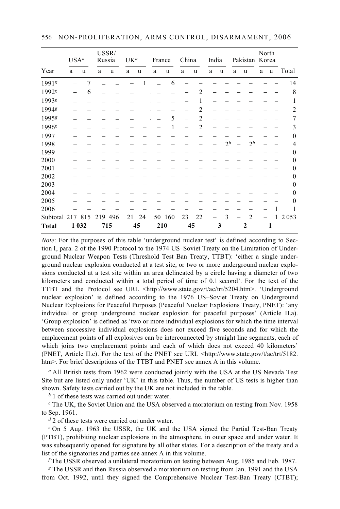| USA <sup>a</sup>  |         | USSR/<br>Russia |     | UK <sup>a</sup> |    | France |     | China |    | India          |   | Pakistan Korea |   | North          |   |   |                |
|-------------------|---------|-----------------|-----|-----------------|----|--------|-----|-------|----|----------------|---|----------------|---|----------------|---|---|----------------|
| Year              | a       | u               | a   | u               | a  | u      | a   | u     | a  | u              | a | u              | a | u              | a | u | Total          |
| 1991g             |         | 7               |     |                 |    |        |     | 6     |    |                |   |                |   |                |   |   | 14             |
| 1992g             |         | 6               |     |                 |    |        |     |       |    | 2              |   |                |   |                |   |   | 8              |
| 1993 <sup>g</sup> |         |                 |     |                 |    |        |     |       |    | 1              |   |                |   |                |   |   | 1              |
| 1994 <sup>g</sup> |         |                 |     |                 |    |        |     |       |    | $\overline{c}$ |   |                |   |                |   |   | $\overline{2}$ |
| 19958             |         |                 |     |                 |    |        |     | 5     |    | $\overline{2}$ |   |                |   |                |   |   | $\overline{7}$ |
| 1996 <sup>g</sup> |         |                 |     |                 |    |        |     | 1     |    | $\overline{2}$ |   |                |   |                |   |   | 3              |
| 1997              |         |                 |     |                 |    |        |     |       |    |                |   |                |   |                |   |   | $\mathbf{0}$   |
| 1998              |         |                 |     |                 |    |        |     |       |    |                |   | 2 <sup>h</sup> |   | 2 <sup>h</sup> |   |   | $\overline{4}$ |
| 1999              |         |                 |     |                 |    |        |     |       |    |                |   |                |   |                |   |   | $\mathbf{0}$   |
| 2000              |         |                 |     |                 |    |        |     |       |    |                |   |                |   |                |   |   | $\mathbf{0}$   |
| 2001              |         |                 |     |                 |    |        |     |       |    |                |   |                |   |                |   |   | $\mathbf{0}$   |
| 2002              |         |                 |     |                 |    |        |     |       |    |                |   |                |   |                |   |   | $\theta$       |
| 2003              |         |                 |     |                 |    |        |     |       |    |                |   |                |   |                |   |   | $\mathbf{0}$   |
| 2004              |         |                 |     |                 |    |        |     |       |    |                |   |                |   |                |   |   | $\theta$       |
| 2005              |         |                 |     |                 |    |        |     |       |    |                |   |                |   |                |   |   | $\theta$       |
| 2006              |         |                 |     |                 |    |        |     |       |    |                |   |                |   |                |   |   |                |
| Subtotal 217      |         | 815             | 219 | 496             | 21 | 24     | 50  | 160   | 23 | 22             |   | 3              |   | $\mathfrak{D}$ |   | 1 | 2053           |
| <b>Total</b>      | 1 0 3 2 |                 | 715 |                 |    | 45     | 210 |       |    | 45             |   | 3              |   | $\mathbf{2}$   |   | 1 |                |

*Note*: For the purposes of this table 'underground nuclear test' is defined according to Section I, para. 2 of the 1990 Protocol to the 1974 US–Soviet Treaty on the Limitation of Underground Nuclear Weapon Tests (Threshold Test Ban Treaty, TTBT): 'either a single underground nuclear explosion conducted at a test site, or two or more underground nuclear explosions conducted at a test site within an area delineated by a circle having a diameter of two kilometers and conducted within a total period of time of 0.1 second'. For the text of the TTBT and the Protocol see URL <http://www.state.gov/t/ac/trt/5204.htm>. 'Underground nuclear explosion' is defined according to the 1976 US–Soviet Treaty on Underground Nuclear Explosions for Peaceful Purposes (Peaceful Nuclear Explosions Treaty, PNET): 'any individual or group underground nuclear explosion for peaceful purposes' (Article II.a). 'Group explosion' is defined as 'two or more individual explosions for which the time interval between successive individual explosions does not exceed five seconds and for which the emplacement points of all explosives can be interconnected by straight line segments, each of which joins two emplacement points and each of which does not exceed 40 kilometers' (PNET, Article II.c). For the text of the PNET see URL <http://www.state.gov/t/ac/trt/5182. htm>. For brief descriptions of the TTBT and PNET see annex A in this volume.

<sup>*a*</sup> All British tests from 1962 were conducted jointly with the USA at the US Nevada Test Site but are listed only under 'UK' in this table. Thus, the number of US tests is higher than shown. Safety tests carried out by the UK are not included in the table.

*b* 1 of these tests was carried out under water.

*<sup>c</sup>* The UK, the Soviet Union and the USA observed a moratorium on testing from Nov. 1958 to Sep. 1961.

*d* 2 of these tests were carried out under water.

*e* On 5 Aug. 1963 the USSR, the UK and the USA signed the Partial Test-Ban Treaty (PTBT), prohibiting nuclear explosions in the atmosphere, in outer space and under water. It was subsequently opened for signature by all other states. For a description of the treaty and a list of the signatories and parties see annex A in this volume.

*f* The USSR observed a unilateral moratorium on testing between Aug. 1985 and Feb. 1987.

*<sup>g</sup>* The USSR and then Russia observed a moratorium on testing from Jan. 1991 and the USA from Oct. 1992, until they signed the Comprehensive Nuclear Test-Ban Treaty (CTBT);